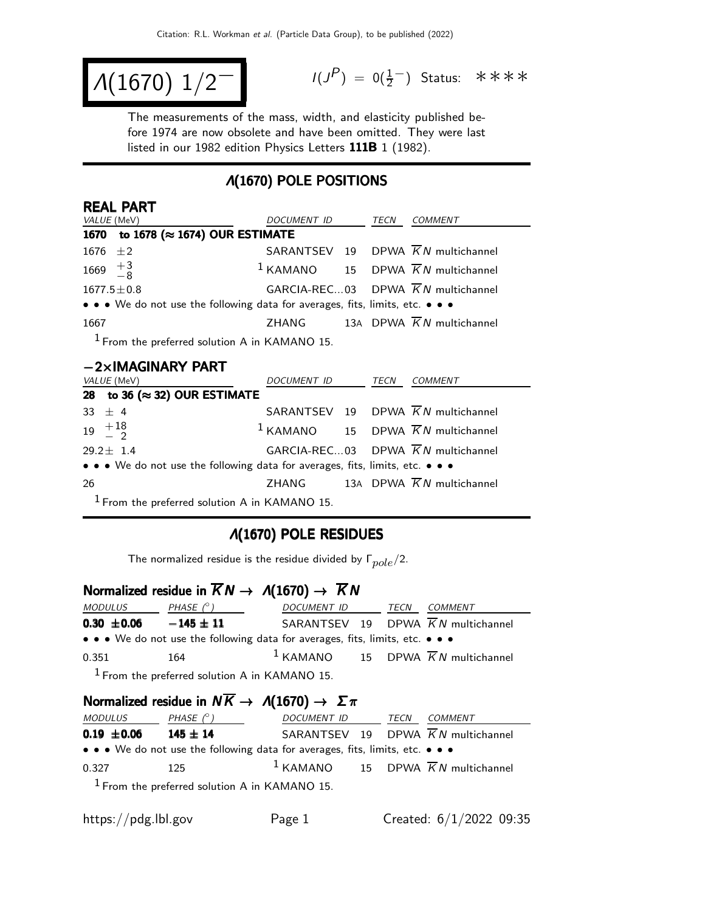$$
\Lambda(1670) \; 1/2^{-1}
$$

 $(P) = 0(\frac{1}{2})$  Status: \*\*\*\*

The measurements of the mass, width, and elasticity published before 1974 are now obsolete and have been omitted. They were last listed in our 1982 edition Physics Letters 111B 1 (1982).

### Λ(1670) POLE POSITIONS

| <b>REAL PART</b>                                                              |                    |  |      |                                                          |  |  |
|-------------------------------------------------------------------------------|--------------------|--|------|----------------------------------------------------------|--|--|
| <i>VALUE</i> (MeV)                                                            | <i>DOCUMENT ID</i> |  | TECN | COMMENT                                                  |  |  |
| 1670 to 1678 (≈ 1674) OUR ESTIMATE                                            |                    |  |      |                                                          |  |  |
| 1676 $\pm 2$                                                                  |                    |  |      | SARANTSEV 19 DPWA $\overline{K}N$ multichannel           |  |  |
| 1669 $\frac{+3}{-8}$                                                          |                    |  |      | <sup>1</sup> KAMANO 15 DPWA $\overline{K}N$ multichannel |  |  |
| $1677.5 \pm 0.8$                                                              |                    |  |      | GARCIA-REC03 DPWA $\overline{K}N$ multichannel           |  |  |
| • • • We do not use the following data for averages, fits, limits, etc. • • • |                    |  |      |                                                          |  |  |
| 1667                                                                          |                    |  |      | ZHANG 13A DPWA $\overline{K}N$ multichannel              |  |  |
| $1$ From the preferred solution A in KAMANO 15.                               |                    |  |      |                                                          |  |  |

#### −2×IMAGINARY PART

|     | <i>VALUE</i> (MeV)                                                            | DOCUMENT ID | TECN | COMMENT                                                  |
|-----|-------------------------------------------------------------------------------|-------------|------|----------------------------------------------------------|
|     | 28 to 36 ( $\approx$ 32) OUR ESTIMATE                                         |             |      |                                                          |
|     | 33 $\pm$ 4                                                                    |             |      | SARANTSEV 19 DPWA $\overline{K}N$ multichannel           |
|     | $19 \begin{array}{c} +18 \\ -2 \end{array}$                                   |             |      | <sup>1</sup> KAMANO 15 DPWA $\overline{K}N$ multichannel |
|     | $29.2 \pm 1.4$                                                                |             |      | GARCIA-REC03 DPWA $\overline{K}N$ multichannel           |
|     | • • • We do not use the following data for averages, fits, limits, etc. • • • |             |      |                                                          |
| -26 |                                                                               |             |      | ZHANG 13A DPWA $\overline{K}N$ multichannel              |
|     | $1$ From the preferred solution A in KAMANO 15.                               |             |      |                                                          |

## Λ(1670) POLE RESIDUES

The normalized residue is the residue divided by  $\Gamma_{pole}/2$ .

### Normalized residue in  $\overline{K}N \rightarrow A(1670) \rightarrow \overline{K}N$

| <i>MODULUS</i>  | PHASE $(^\circ)$                                                              | DOCUMENT ID TECN                                         | <i>COMMENT</i> |
|-----------------|-------------------------------------------------------------------------------|----------------------------------------------------------|----------------|
| $0.30 \pm 0.06$ | $-145 \pm 11$                                                                 | SARANTSEV 19 DPWA $\overline{K}N$ multichannel           |                |
|                 | • • • We do not use the following data for averages, fits, limits, etc. • • • |                                                          |                |
| 0.351           | 164                                                                           | <sup>1</sup> KAMANO 15 DPWA $\overline{K}N$ multichannel |                |
|                 | $1$ From the preferred solution A in KAMANO 15.                               |                                                          |                |

### Normalized residue in  $N \overline{K} \rightarrow A(1670) \rightarrow \Sigma \pi$

| <i>MODULUS</i>  | PHASE $(^\circ)$                                                              | DOCUMENT ID | TECN | COMMENT                                         |
|-----------------|-------------------------------------------------------------------------------|-------------|------|-------------------------------------------------|
| $0.19 \pm 0.06$ | $145 \pm 14$                                                                  |             |      | SARANTSEV 19 DPWA KN multichannel               |
|                 | • • • We do not use the following data for averages, fits, limits, etc. • • • |             |      |                                                 |
| 0.327           | 125                                                                           |             |      | $1$ KAMANO 15 DPWA $\overline{K}N$ multichannel |
|                 | $\frac{1}{2}$ From the preferred solution A in KAMANO 15                      |             |      |                                                 |

eterred solution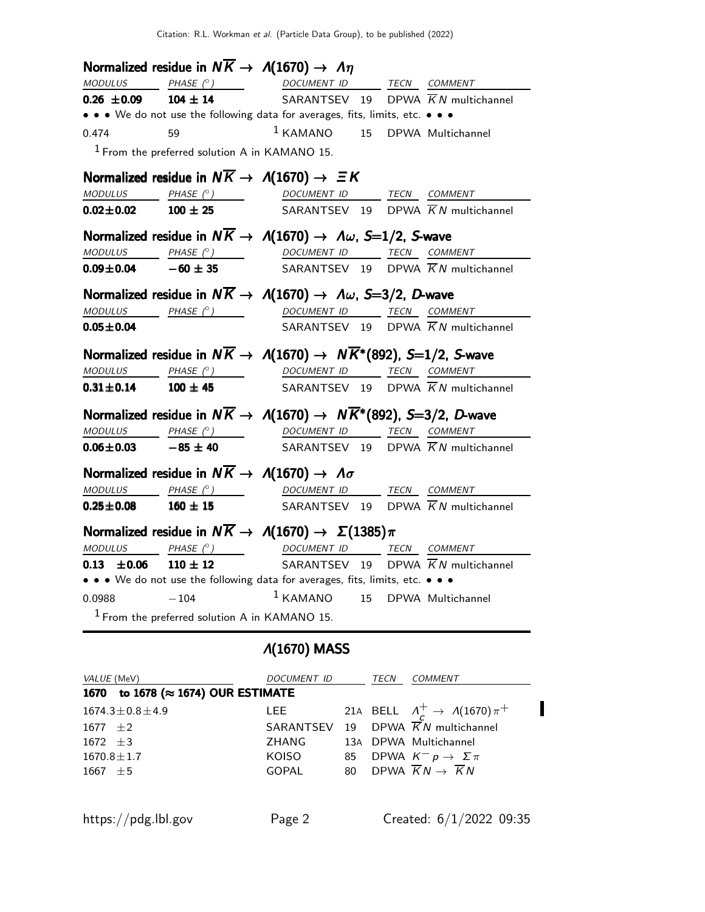|                              | Normalized residue in $N\overline{K} \rightarrow A(1670) \rightarrow \Lambda \eta$ |                                                                                                                                                            |                      |
|------------------------------|------------------------------------------------------------------------------------|------------------------------------------------------------------------------------------------------------------------------------------------------------|----------------------|
| <b>MODULUS</b>               |                                                                                    | PHASE (°) DOCUMENT ID TECN COMMENT                                                                                                                         |                      |
| $0.26 \pm 0.09$              |                                                                                    | <b>104 ± 14</b> SARANTSEV 19 DPWA $\overline{K}N$ multichannel                                                                                             |                      |
|                              |                                                                                    | • • • We do not use the following data for averages, fits, limits, etc. • • •                                                                              |                      |
| 0.474                        | 59                                                                                 | <sup>1</sup> KAMANO 15 DPWA Multichannel                                                                                                                   |                      |
|                              | $1$ From the preferred solution A in KAMANO 15.                                    |                                                                                                                                                            |                      |
|                              |                                                                                    | Normalized residue in $N\overline{K} \to \Lambda(1670) \to \Xi K$                                                                                          |                      |
|                              |                                                                                    | MODULUS PHASE (°) DOCUMENT ID TECN COMMENT                                                                                                                 |                      |
| $0.02 \pm 0.02$              | $100 \pm 25$                                                                       | SARANTSEV 19 DPWA $\overline{K}N$ multichannel                                                                                                             |                      |
|                              |                                                                                    | Normalized residue in $N\overline{K} \to \Lambda(1670) \to \Lambda \omega$ , S=1/2, S-wave                                                                 |                      |
|                              |                                                                                    | $\frac{MODULUS}{10.09 \pm 0.04}$ $\frac{PHASE (^{\circ})}{-60 \pm 35}$ $\frac{DOCUMENT ID}{SARANTSEV}$ $\frac{TECN}{19}$ $\frac{COMMENT}{KN}$ multichannel |                      |
|                              |                                                                                    |                                                                                                                                                            |                      |
|                              |                                                                                    | Normalized residue in $N\overline{K} \to \Lambda(1670) \to \Lambda \omega$ , S=3/2, D-wave                                                                 |                      |
|                              |                                                                                    | MODULUS PHASE (°) DOCUMENT ID TECN COMMENT                                                                                                                 |                      |
| $0.05 \pm 0.04$              |                                                                                    | SARANTSEV 19 DPWA $\overline{K}N$ multichannel                                                                                                             |                      |
|                              |                                                                                    | Normalized residue in $N\overline{K} \to \Lambda(1670) \to N\overline{K}^*(892)$ , S=1/2, S-wave                                                           |                      |
|                              |                                                                                    | $\begin{array}{ccccccccc}\textit{MODULUS} & \textit{PHASE}& @ & \textit{DOCUMENT} & \textit{ID} & \textit{TECN} & \textit{COMMENT} \end{array}$            |                      |
|                              |                                                                                    | <b>0.31<math>\pm</math>0.14</b> 100 $\pm$ 45 SARANTSEV 19 DPWA $\overline{K}N$ multichannel                                                                |                      |
|                              |                                                                                    | Normalized residue in $N\overline{K} \to \Lambda(1670) \to N\overline{K}^*(892)$ , S=3/2, D-wave                                                           |                      |
|                              |                                                                                    | $\begin{array}{ccccccccc}\textit{MODULUS} & \textit{PHASE}& @ & \textit{DOCUMENT} & \textit{ID} & \textit{TECN} & \textit{COMMENT} \end{array}$            |                      |
| $0.06 \pm 0.03$ $-85 \pm 40$ |                                                                                    | SARANTSEV 19 DPWA $\overline{K}N$ multichannel                                                                                                             |                      |
|                              |                                                                                    | Normalized residue in $N\overline{K} \rightarrow \Lambda(1670) \rightarrow \Lambda \sigma$                                                                 |                      |
|                              |                                                                                    | MODULUS PHASE (°) DOCUMENT ID TECN COMMENT                                                                                                                 |                      |
| $0.25 \pm 0.08$              | $160 \pm 15$                                                                       | SARANTSEV 19 DPWA $\overline{K}N$ multichannel                                                                                                             |                      |
|                              |                                                                                    | Normalized residue in $N\overline{K} \to \Lambda(1670) \to \Sigma(1385)\pi$                                                                                |                      |
|                              |                                                                                    | MODULUS PHASE (°) DOCUMENT ID TECN COMMENT                                                                                                                 |                      |
| $0.13 \pm 0.06$              | $110 \pm 12$                                                                       | SARANTSEV 19 DPWA $\overline{K}N$ multichannel                                                                                                             |                      |
|                              |                                                                                    | • • • We do not use the following data for averages, fits, limits, etc. • • •                                                                              |                      |
| 0.0988                       | $-104$                                                                             | $1$ KAMANO                                                                                                                                                 | 15 DPWA Multichannel |
|                              | $1$ From the preferred solution A in KAMANO 15.                                    |                                                                                                                                                            |                      |

# Λ(1670) MASS

| VALUE (MeV)                        | <i>DOCUMENT ID</i> |    | TECN | COMMENT                                               |
|------------------------------------|--------------------|----|------|-------------------------------------------------------|
| 1670 to 1678 (≈ 1674) OUR ESTIMATE |                    |    |      |                                                       |
| $1674.3 \pm 0.8 \pm 4.9$           | <b>LEE</b>         |    |      | 21A BELL $\Lambda_c^+ \rightarrow \Lambda(1670)\pi^+$ |
| 1677 $\pm 2$                       |                    |    |      | SARANTSEV 19 DPWA $\overline{K}N$ multichannel        |
| $1672 \pm 3$                       | ZHANG              |    |      | 13A DPWA Multichannel                                 |
| $1670.8 \pm 1.7$                   | KOISO              | 85 |      | DPWA $K^- p \to \Sigma \pi$                           |
| $1667 \pm 5$                       | <b>GOPAL</b>       |    |      | 80 DPWA $\overline{K}N \rightarrow \overline{K}N$     |
|                                    |                    |    |      |                                                       |
|                                    |                    |    |      |                                                       |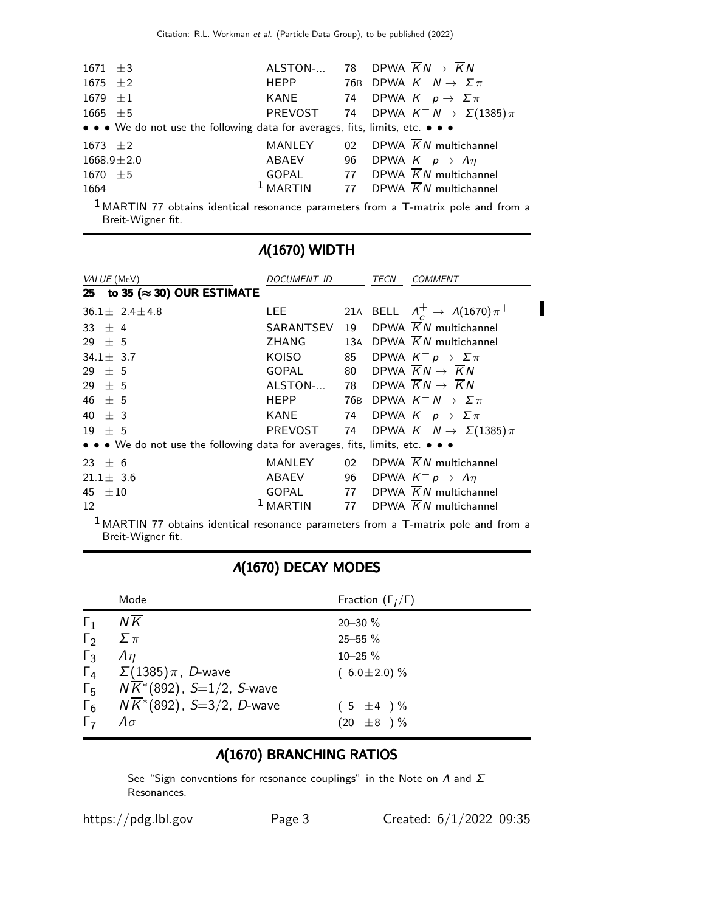| $1671 \pm 3$ |                                                                               |        | ALSTON- 78 DPWA $\overline{K}N \rightarrow \overline{K}N$ |
|--------------|-------------------------------------------------------------------------------|--------|-----------------------------------------------------------|
| 1675 $\pm 2$ |                                                                               | HEPP   | 76B DPWA $K^- N \to \Sigma \pi$                           |
| 1679 $\pm 1$ |                                                                               | KANE   | 74 DPWA $K^- p \to \Sigma \pi$                            |
| 1665 $\pm$ 5 |                                                                               |        | PREVOST 74 DPWA $K^{-} N \rightarrow \Sigma(1385) \pi$    |
|              | • • • We do not use the following data for averages, fits, limits, etc. • • • |        |                                                           |
| 1673 $\pm 2$ |                                                                               | MANLEY | 02 DPWA $\overline{K}N$ multichannel                      |
|              | $1668.9 \pm 2.0$                                                              | ABAEV  | 96 DPWA $K^- p \rightarrow \Lambda \eta$                  |
| 1670 $\pm 5$ |                                                                               |        | GOPAL 77 DPWA $\overline{K}N$ multichannel                |
| 1664         |                                                                               |        | <sup>1</sup> MARTIN 77 DPWA $\overline{K}N$ multichannel  |
|              |                                                                               |        |                                                           |

 $1$  MARTIN 77 obtains identical resonance parameters from a T-matrix pole and from a Breit-Wigner fit.

| $\Lambda$ (10/0) WID I H                                                      |               |       |      |                                                   |  |
|-------------------------------------------------------------------------------|---------------|-------|------|---------------------------------------------------|--|
| <i>VALUE</i> (MeV)                                                            | DOCUMENT ID   |       | TECN | <b>COMMENT</b>                                    |  |
| 25 to 35 ( $\approx$ 30) OUR ESTIMATE                                         |               |       |      |                                                   |  |
| $36.1 \pm 2.4 \pm 4.8$                                                        | LEE           |       |      | 21A BELL $\Lambda_c^+ \to \Lambda(1670)\pi^+$     |  |
| 33 $\pm$ 4                                                                    | SARANTSEV     | 19    |      | DPWA $KN$ multichannel                            |  |
| $29 \pm 5$                                                                    | ZHANG         | 13A   |      | DPWA $\overline{K}N$ multichannel                 |  |
| $34.1 \pm 3.7$                                                                | KOISO         | 85    |      | DPWA $K^- p \rightarrow \Sigma \pi$               |  |
| $29 \pm 5$                                                                    | GOPAL         |       |      | 80 DPWA $\overline{K}N \rightarrow \overline{K}N$ |  |
| $29 \pm 5$                                                                    | ALSTON-       |       |      | 78 DPWA $\overline{K}N \rightarrow \overline{K}N$ |  |
| 46 $\pm$ 5                                                                    | <b>HEPP</b>   | 76B I |      | DPWA $K^- N \to \Sigma \pi$                       |  |
| 40 $\pm$ 3                                                                    | KANE          |       |      | 74 DPWA $K^- p \rightarrow \Sigma \pi$            |  |
| $19 \pm 5$                                                                    | PREVOST       |       |      | 74 DPWA $K^- N \to \Sigma(1385) \pi$              |  |
| • • • We do not use the following data for averages, fits, limits, etc. • • • |               |       |      |                                                   |  |
| $23 \pm 6$                                                                    | <b>MANLEY</b> | 02    |      | DPWA $\overline{K}N$ multichannel                 |  |
| $21.1 \pm 3.6$                                                                | ABAEV         | 96    |      | DPWA $K^- p \rightarrow \Lambda \eta$             |  |
| 45 $\pm 10$                                                                   | GOPAL         |       |      | 77 DPWA $\overline{K}N$ multichannel              |  |
| 12                                                                            | $1$ MARTIN    |       |      | 77 DPWA $\overline{K}N$ multichannel              |  |
|                                                                               |               |       |      |                                                   |  |

# Λ(1670) WIDTH

1 MARTIN 77 obtains identical resonance parameters from a T-matrix pole and from a Breit-Wigner fit.

|  | <i><b>A</b></i> (1670) DECAY MODES |  |
|--|------------------------------------|--|
|--|------------------------------------|--|

|            | Mode                                              | Fraction $(\Gamma_i/\Gamma)$ |
|------------|---------------------------------------------------|------------------------------|
| $\Gamma_1$ | $N\overline{K}$                                   | $20 - 30 \%$                 |
| $\Gamma_2$ | $\Sigma \pi$                                      | $25 - 55 \%$                 |
| $\Gamma_3$ | An                                                | $10 - 25 \%$                 |
|            | $\Gamma_4$ $\Sigma(1385)\pi$ , <i>D</i> -wave     | $(6.0 \pm 2.0)\%$            |
|            | $\Gamma_5$ $N\overline{K}^*(892)$ , S=1/2, S-wave |                              |
|            | $\Gamma_6$ $N\overline{K}$ (892), S=3/2, D-wave   | $(5 \pm 4) \%$               |
| $\Gamma$   | $\Lambda \sigma$                                  | $(20 \pm 8) \%$              |

# Λ(1670) BRANCHING RATIOS

See "Sign conventions for resonance couplings" in the Note on  $\Lambda$  and  $\Sigma$ Resonances.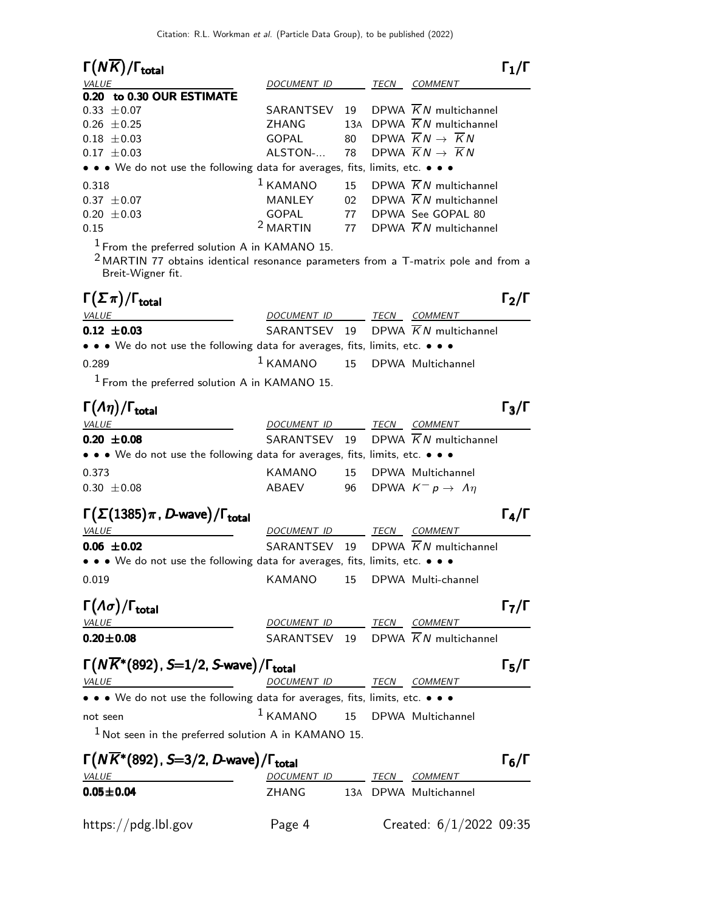| $\Gamma(N\overline{K})/\Gamma_{\rm total}$                                                                                                                   |                                   |    |      |                                                | $\Gamma_1/\Gamma$ |
|--------------------------------------------------------------------------------------------------------------------------------------------------------------|-----------------------------------|----|------|------------------------------------------------|-------------------|
| <i>VALUE</i>                                                                                                                                                 | DOCUMENT ID                       |    | TECN | COMMENT                                        |                   |
| 0.20 to 0.30 OUR ESTIMATE                                                                                                                                    |                                   |    |      |                                                |                   |
| $0.33 \pm 0.07$                                                                                                                                              | SARANTSEV                         | 19 |      | DPWA $\overline{K}N$ multichannel              |                   |
| $0.26 \pm 0.25$                                                                                                                                              | ZHANG                             |    |      | 13A DPWA $\overline{K}N$ multichannel          |                   |
| $0.18 \pm 0.03$                                                                                                                                              | <b>GOPAL</b>                      | 80 |      | DPWA $\overline{K}N \rightarrow \overline{K}N$ |                   |
| $0.17 \pm 0.03$                                                                                                                                              | ALSTON-                           | 78 |      | DPWA $\overline{K}N \rightarrow \overline{K}N$ |                   |
| • • • We do not use the following data for averages, fits, limits, etc. • • •                                                                                |                                   |    |      |                                                |                   |
| 0.318                                                                                                                                                        | $1$ KAMANO                        | 15 |      | DPWA $\overline{K}N$ multichannel              |                   |
| $0.37 \pm 0.07$                                                                                                                                              | MANLEY                            | 02 |      | DPWA $\overline{K}N$ multichannel              |                   |
| $0.20 \pm 0.03$                                                                                                                                              | <b>GOPAL</b>                      | 77 |      | DPWA See GOPAL 80                              |                   |
| 0.15                                                                                                                                                         | <sup>2</sup> MARTIN               | 77 |      | DPWA $\overline{K}N$ multichannel              |                   |
| $1$ From the preferred solution A in KAMANO 15.<br>$2$ MARTIN 77 obtains identical resonance parameters from a T-matrix pole and from a<br>Breit-Wigner fit. |                                   |    |      |                                                |                   |
| $\Gamma(\Sigma \pi)/\Gamma_{\rm total}$                                                                                                                      |                                   |    |      |                                                | $\Gamma_2/\Gamma$ |
| VALUE                                                                                                                                                        | DOCUMENT ID TECN COMMENT          |    |      |                                                |                   |
| $0.12 \pm 0.03$                                                                                                                                              | SARANTSEV                         | 19 |      | DPWA $\overline{K}N$ multichannel              |                   |
| • • • We do not use the following data for averages, fits, limits, etc. • • •                                                                                |                                   |    |      |                                                |                   |
| 0.289                                                                                                                                                        | $1$ KAMANO                        | 15 |      | DPWA Multichannel                              |                   |
| $1$ From the preferred solution A in KAMANO 15.                                                                                                              |                                   |    |      |                                                |                   |
| $\Gamma(\Lambda \eta)/\Gamma_{\rm total}$                                                                                                                    |                                   |    |      |                                                | $\Gamma_3/\Gamma$ |
| VALUE                                                                                                                                                        | DOCUMENT ID                       |    |      | TECN COMMENT                                   |                   |
| $0.20 \pm 0.08$                                                                                                                                              | SARANTSEV 19                      |    |      | DPWA $\overline{K}N$ multichannel              |                   |
| • • • We do not use the following data for averages, fits, limits, etc. • • •                                                                                |                                   |    |      |                                                |                   |
| 0.373                                                                                                                                                        | KAMANO                            | 15 |      | DPWA Multichannel                              |                   |
| $0.30 \pm 0.08$                                                                                                                                              | <b>ABAEV</b>                      | 96 |      | DPWA $K^- p \rightarrow \Lambda \eta$          |                   |
|                                                                                                                                                              |                                   |    |      |                                                |                   |
| $\Gamma(\Sigma(1385)\pi$ , D-wave)/ $\Gamma_{\rm total}$                                                                                                     |                                   |    |      |                                                | $\Gamma_4/\Gamma$ |
| VALUE                                                                                                                                                        | DOCUMENT ID                       |    |      | TECN COMMENT                                   |                   |
| $0.06 \pm 0.02$                                                                                                                                              | SARANTSEV                         | 19 |      | DPWA $\overline{K}N$ multichannel              |                   |
| • • • We do not use the following data for averages, fits, limits, etc. • • •                                                                                |                                   |    |      |                                                |                   |
| 0.019                                                                                                                                                        | KAMANO                            |    |      | 15 DPWA Multi-channel                          |                   |
|                                                                                                                                                              |                                   |    |      |                                                |                   |
| $\Gamma(\Lambda\sigma)/\Gamma_{\rm total}$                                                                                                                   |                                   |    |      |                                                | $\Gamma_7/\Gamma$ |
| <b>VALUE</b>                                                                                                                                                 | DOCUMENT ID TECN COMMENT          |    |      |                                                |                   |
| $0.20 \pm 0.08$                                                                                                                                              |                                   |    |      | SARANTSEV 19 DPWA $\overline{K}N$ multichannel |                   |
| $\Gamma(N\overline{K}^*(892), S=1/2, S$ -wave)/ $\Gamma_{\rm total}$                                                                                         |                                   |    |      |                                                | $\Gamma_5/\Gamma$ |
|                                                                                                                                                              |                                   |    |      | DOCUMENT ID TECN COMMENT                       |                   |
| $\bullet \bullet \bullet$ We do not use the following data for averages, fits, limits, etc. $\bullet \bullet \bullet$                                        |                                   |    |      |                                                |                   |
| not seen                                                                                                                                                     | $1$ KAMANO $15$ DPWA Multichannel |    |      |                                                |                   |
| $1$ Not seen in the preferred solution A in KAMANO 15.                                                                                                       |                                   |    |      |                                                |                   |
| $\Gamma(N\overline{K}^*(892)$ , S=3/2, D-wave)/ $\Gamma_{\rm total}$                                                                                         |                                   |    |      |                                                | $\Gamma_6/\Gamma$ |
| <b>VALUE</b>                                                                                                                                                 | DOCUMENT ID TECN COMMENT          |    |      |                                                |                   |
| $0.05 \pm 0.04$                                                                                                                                              | ZHANG 13A DPWA Multichannel       |    |      |                                                |                   |
|                                                                                                                                                              |                                   |    |      |                                                |                   |
| https://pdg.lbl.gov                                                                                                                                          | Page 4                            |    |      | Created: $6/1/2022$ 09:35                      |                   |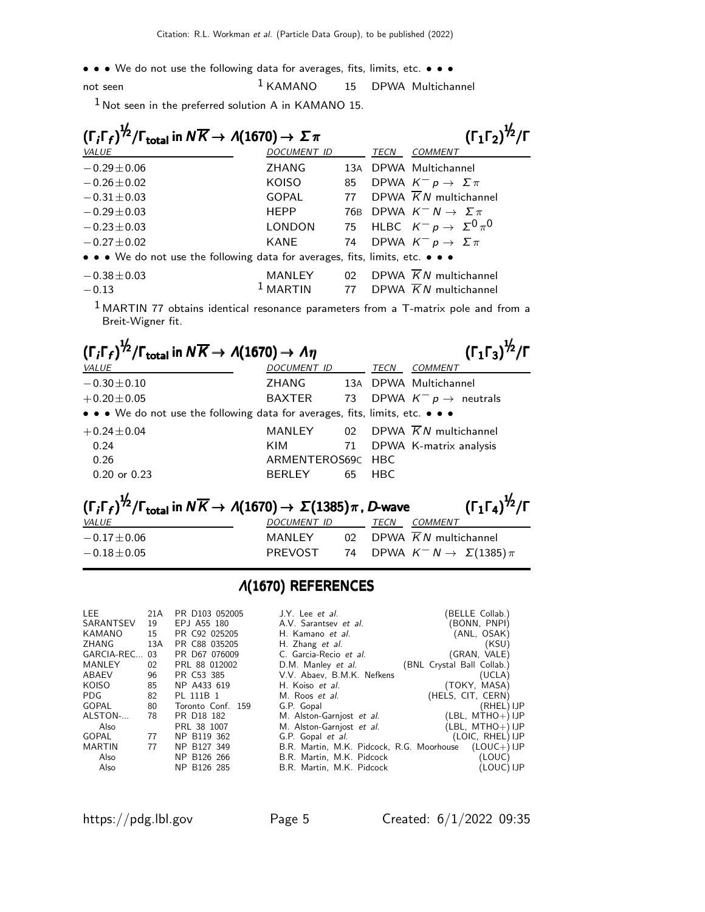• • • We do not use the following data for averages, fits, limits, etc. • • •

not seen 1 KAMANO 15 DPWA Multichannel

 $1$  Not seen in the preferred solution A in KAMANO 15.

| $(\Gamma_i \Gamma_f)^{\frac{1}{2}} / \Gamma_{\text{total}}$ in $N \overline{K} \rightarrow A(1670) \rightarrow \Sigma \pi$ |                     | $(\Gamma_1 \Gamma_2)^{\frac{1}{2}} / \Gamma$ |      |                                            |
|----------------------------------------------------------------------------------------------------------------------------|---------------------|----------------------------------------------|------|--------------------------------------------|
| VALUE                                                                                                                      | <b>DOCUMENT ID</b>  |                                              | TECN | <b>COMMENT</b>                             |
| $-0.29 \pm 0.06$                                                                                                           | <b>ZHANG</b>        |                                              |      | 13A DPWA Multichannel                      |
| $-0.26 \pm 0.02$                                                                                                           | <b>KOISO</b>        | 85                                           |      | DPWA $K^- p \rightarrow \Sigma \pi$        |
| $-0.31 \pm 0.03$                                                                                                           | <b>GOPAL</b>        | 77                                           |      | DPWA $\overline{K}N$ multichannel          |
| $-0.29 \pm 0.03$                                                                                                           | <b>HEPP</b>         |                                              |      | 76B DPWA $K^- N \rightarrow \Sigma \pi$    |
| $-0.23 \pm 0.03$                                                                                                           | <b>LONDON</b>       |                                              |      | 75 HLBC $K^- p \rightarrow \Sigma^0 \pi^0$ |
| $-0.27 \pm 0.02$                                                                                                           | <b>KANE</b>         | 74                                           |      | DPWA $K^- p \rightarrow \Sigma \pi$        |
| • • • We do not use the following data for averages, fits, limits, etc. • • •                                              |                     |                                              |      |                                            |
| $-0.38 \pm 0.03$                                                                                                           | MANLEY              | 02                                           |      | DPWA $\overline{K}N$ multichannel          |
| $-0.13$                                                                                                                    | <sup>1</sup> MARTIN |                                              |      | 77 DPWA $\overline{K}N$ multichannel       |

 $<sup>1</sup>$  MARTIN 77 obtains identical resonance parameters from a T-matrix pole and from a</sup> Breit-Wigner fit.

| $(\Gamma_1 \Gamma_3)^{\frac{1}{2}}$ / $\Gamma$<br>$(\Gamma_i \Gamma_f)^{\frac{1}{2}} / \Gamma_{\text{total}}$ in $N \overline{K} \rightarrow A(1670) \rightarrow A \eta$        |                    |    |             |                                      |  |  |  |
|---------------------------------------------------------------------------------------------------------------------------------------------------------------------------------|--------------------|----|-------------|--------------------------------------|--|--|--|
| <b>VALUE</b>                                                                                                                                                                    | <b>DOCUMENT ID</b> |    | <b>TECN</b> | <b>COMMENT</b>                       |  |  |  |
| $-0.30 \pm 0.10$                                                                                                                                                                | ZHANG              |    |             | 13A DPWA Multichannel                |  |  |  |
| $+0.20 \pm 0.05$                                                                                                                                                                | BAXTER             | 73 |             | DPWA $K^- p \rightarrow$ neutrals    |  |  |  |
| • • • We do not use the following data for averages, fits, limits, etc. • • •                                                                                                   |                    |    |             |                                      |  |  |  |
| $+0.24 \pm 0.04$                                                                                                                                                                | MANLEY             |    |             | 02 DPWA $\overline{K}N$ multichannel |  |  |  |
| 0.24                                                                                                                                                                            | KIM                | 71 |             | DPWA K-matrix analysis               |  |  |  |
| 0.26                                                                                                                                                                            | ARMENTEROS69C      |    | <b>HBC</b>  |                                      |  |  |  |
| $0.20$ or $0.23$                                                                                                                                                                | <b>BERLEY</b>      | 65 | <b>HBC</b>  |                                      |  |  |  |
| $(\Gamma_1 \Gamma_4)^{1/2}/\Gamma$<br>$(\Gamma_i \Gamma_f)^{\frac{1}{2}} / \Gamma_{\text{total}}$ in $N \overline{K} \rightarrow A(1670) \rightarrow \Sigma(1385) \pi$ , D-wave |                    |    |             |                                      |  |  |  |
| VALUE                                                                                                                                                                           | <b>DOCUMENT ID</b> |    | TECN        | <b>COMMENT</b>                       |  |  |  |
| $-0.17 \pm 0.06$                                                                                                                                                                | MANLEY             |    |             | 02 DPWA $\overline{K}N$ multichannel |  |  |  |

### Λ(1670) REFERENCES

 $-0.18\pm0.05$  PREVOST 74 DPWA  $K^- N \rightarrow \Sigma(1385)\pi$ 

| LEE          | 21A | PR D103 052005    | J.Y. Lee <i>et al.</i>                    | (BELLE Collab.)            |
|--------------|-----|-------------------|-------------------------------------------|----------------------------|
| SARANTSEV    | 19  | EPJ A55 180       | A.V. Sarantsey et al.                     | (BONN, PNPI)               |
| KAMANO       | 15  | PR C92 025205     | H. Kamano et al.                          | (ANL, OSAK)                |
| ZHANG        | 13A | PR C88 035205     | H. Zhang et al.                           | (KSU)                      |
| GARCIA-REC   | 03  | PR D67 076009     | C. Garcia-Recio et al.                    | (GRAN, VALE)               |
| MANLEY       | 02  | PRL 88 012002     | D.M. Manley et al.                        | (BNL Crystal Ball Collab.) |
| ABAEV        | 96  | PR C53 385        | V.V. Abaev, B.M.K. Nefkens                | (UCLA)                     |
| <b>KOISO</b> | 85  | NP A433 619       | H. Koiso et al.                           | (TOKY, MASA)               |
| PDG          | 82  | PL 111B 1         | M. Roos et al.                            | (HELS, CIT, CERN)          |
| GOPAL        | 80  | Toronto Conf. 159 | G.P. Gopal                                | (RHEL) IJP                 |
| ALSTON-      | 78  | PR D18 182        | M. Alston-Garnjost et al.                 | $(LBL, MTHO+)$ IJP         |
| Also         |     | PRL 38 1007       | M. Alston-Garnjost et al.                 | $(LBL, MTHO+) IJP$         |
| GOPAL        | 77  | NP B119 362       | G.P. Gopal et al.                         | (LOIC, RHEL) IJP           |
| MARTIN       | 77  | NP B127 349       | B.R. Martin, M.K. Pidcock, R.G. Moorhouse | $(LOUC+)$ IJP              |
| Also         |     | NP B126 266       | B.R. Martin, M.K. Pidcock                 | (LOUC)                     |
| Also         |     | NP B126 285       | B.R. Martin, M.K. Pidcock                 | (LOUC) IJP                 |